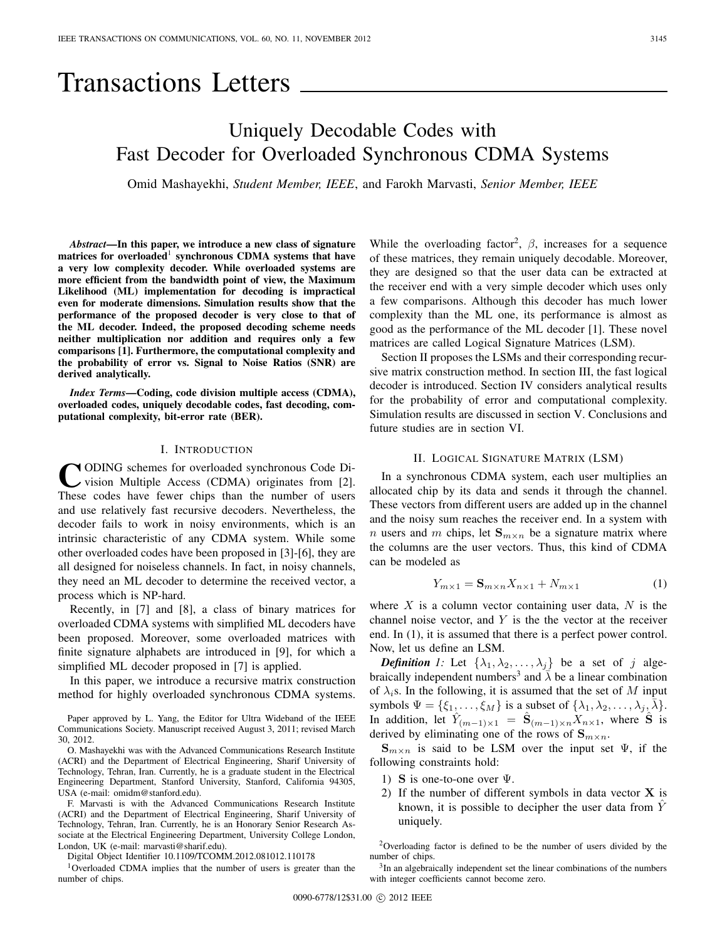# Transactions Letters

# Uniquely Decodable Codes with Fast Decoder for Overloaded Synchronous CDMA Systems

Omid Mashayekhi, *Student Member, IEEE*, and Farokh Marvasti, *Senior Member, IEEE*

*Abstract***—In this paper, we introduce a new class of signature matrices for overloaded synchronous CDMA** systems that have **a very low complexity decoder. While overloaded systems are more efficient from the bandwidth point of view, the Maximum Likelihood (ML) implementation for decoding is impractical even for moderate dimensions. Simulation results show that the performance of the proposed decoder is very close to that of the ML decoder. Indeed, the proposed decoding scheme needs neither multiplication nor addition and requires only a few comparisons [1]. Furthermore, the computational complexity and the probability of error vs. Signal to Noise Ratios (SNR) are derived analytically.**

*Index Terms***—Coding, code division multiple access (CDMA), overloaded codes, uniquely decodable codes, fast decoding, computational complexity, bit-error rate (BER).**

## I. INTRODUCTION

**CODING** schemes for overloaded synchronous Code Division Multiple Access (CDMA) originates from [2]. These codes have fewer chips than the number of users and use relatively fast recursive decoders. Nevertheless, the decoder fails to work in noisy environments, which is an intrinsic characteristic of any CDMA system. While some other overloaded codes have been proposed in [3]-[6], they are all designed for noiseless channels. In fact, in noisy channels, they need an ML decoder to determine the received vector, a process which is NP-hard.

Recently, in [7] and [8], a class of binary matrices for overloaded CDMA systems with simplified ML decoders have been proposed. Moreover, some overloaded matrices with finite signature alphabets are introduced in [9], for which a simplified ML decoder proposed in [7] is applied.

In this paper, we introduce a recursive matrix construction method for highly overloaded synchronous CDMA systems.

Paper approved by L. Yang, the Editor for Ultra Wideband of the IEEE Communications Society. Manuscript received August 3, 2011; revised March 30, 2012.

O. Mashayekhi was with the Advanced Communications Research Institute (ACRI) and the Department of Electrical Engineering, Sharif University of Technology, Tehran, Iran. Currently, he is a graduate student in the Electrical Engineering Department, Stanford University, Stanford, California 94305, USA (e-mail: omidm@stanford.edu).

F. Marvasti is with the Advanced Communications Research Institute (ACRI) and the Department of Electrical Engineering, Sharif University of Technology, Tehran, Iran. Currently, he is an Honorary Senior Research Associate at the Electrical Engineering Department, University College London, London, UK (e-mail: marvasti@sharif.edu).

Digital Object Identifier 10.1109/TCOMM.2012.081012.110178

1Overloaded CDMA implies that the number of users is greater than the number of chips.

While the overloading factor<sup>2</sup>,  $\beta$ , increases for a sequence of these matrices, they remain uniquely decodable. Moreover, they are designed so that the user data can be extracted at the receiver end with a very simple decoder which uses only a few comparisons. Although this decoder has much lower complexity than the ML one, its performance is almost as good as the performance of the ML decoder [1]. These novel matrices are called Logical Signature Matrices (LSM).

Section II proposes the LSMs and their corresponding recursive matrix construction method. In section III, the fast logical decoder is introduced. Section IV considers analytical results for the probability of error and computational complexity. Simulation results are discussed in section V. Conclusions and future studies are in section VI.

## II. LOGICAL SIGNATURE MATRIX (LSM)

In a synchronous CDMA system, each user multiplies an allocated chip by its data and sends it through the channel. These vectors from different users are added up in the channel and the noisy sum reaches the receiver end. In a system with *n* users and *m* chips, let  $\mathbf{S}_{m \times n}$  be a signature matrix where the columns are the user vectors. Thus, this kind of CDMA can be modeled as

$$
Y_{m\times 1} = \mathbf{S}_{m\times n} X_{n\times 1} + N_{m\times 1} \tag{1}
$$

where  $X$  is a column vector containing user data,  $N$  is the channel noise vector, and  $Y$  is the the vector at the receiver end. In (1), it is assumed that there is a perfect power control. Now, let us define an LSM.

**Definition** 1: Let  $\{\lambda_1, \lambda_2, ..., \lambda_j\}$  be a set of j algebraically independent numbers<sup>3</sup> and  $\lambda$  be a linear combination of  $\lambda_i$ s. In the following, it is assumed that the set of M input symbols  $\Psi = \{\xi_1, \ldots, \xi_M\}$  is a subset of  $\{\lambda_1, \lambda_2, \ldots, \lambda_j, \overline{\lambda}\}.$ In addition, let  $\hat{Y}_{(m-1)\times 1} = \hat{\mathbf{S}}_{(m-1)\times n} \hat{X}_{n\times 1}$ , where  $\hat{\mathbf{S}}$  is derived by eliminating one of the rows of  $\mathbf{S}_{m \times n}$ .

 $\mathbf{S}_{m \times n}$  is said to be LSM over the input set  $\Psi$ , if the following constraints hold:

- 1) **S** is one-to-one over Ψ.
- 2) If the number of different symbols in data vector **X** is known, it is possible to decipher the user data from  $\hat{Y}$ uniquely.

<sup>2</sup>Overloading factor is defined to be the number of users divided by the number of chips.

<sup>3</sup>In an algebraically independent set the linear combinations of the numbers with integer coefficients cannot become zero.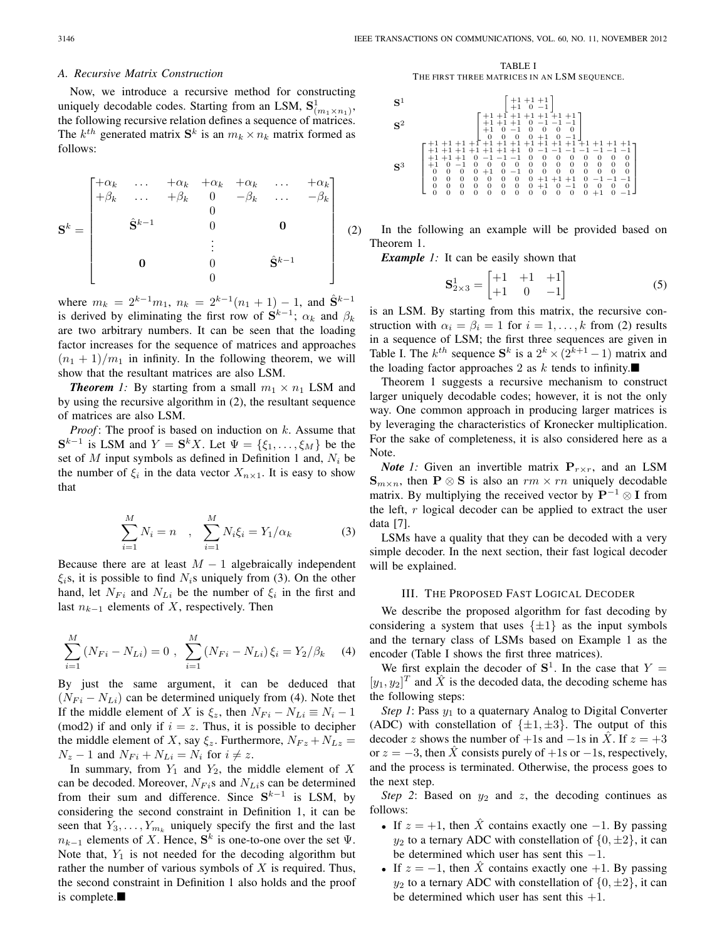#### *A. Recursive Matrix Construction*

Now, we introduce a recursive method for constructing uniquely decodable codes. Starting from an LSM,  $S^1_{(m_1 \times n_1)},$ the following recursive relation defines a sequence of matrices. The  $k^{th}$  generated matrix  $S^k$  is an  $m_k \times n_k$  matrix formed as follows:

$$
\mathbf{S}^{k} = \begin{bmatrix} +\alpha_{k} & \dots & +\alpha_{k} & +\alpha_{k} & +\alpha_{k} & \dots & +\alpha_{k} \\ +\beta_{k} & \dots & +\beta_{k} & 0 & -\beta_{k} & \dots & -\beta_{k} \\ & \hat{\mathbf{S}}^{k-1} & 0 & 0 & 0 \\ & \vdots & & & \\ \mathbf{0} & 0 & \hat{\mathbf{S}}^{k-1} & 0 \end{bmatrix} (2)
$$

where  $m_k = 2^{k-1}m_1$ ,  $n_k = 2^{k-1}(n_1 + 1) - 1$ , and  $\hat{S}^{k-1}$ is derived by eliminating the first row of  $S^{k-1}$ ;  $\alpha_k$  and  $\beta_k$ are two arbitrary numbers. It can be seen that the loading factor increases for the sequence of matrices and approaches  $(n_1 + 1)/m_1$  in infinity. In the following theorem, we will show that the resultant matrices are also LSM.

*Theorem 1:* By starting from a small  $m_1 \times n_1$  LSM and by using the recursive algorithm in (2), the resultant sequence of matrices are also LSM.

*Proof* : The proof is based on induction on k. Assume that  $S^{k-1}$  is LSM and  $Y = S^k X$ . Let  $\Psi = \{\xi_1, \ldots, \xi_M\}$  be the set of M input symbols as defined in Definition 1 and,  $N_i$  be the number of  $\xi_i$  in the data vector  $X_{n\times 1}$ . It is easy to show that

$$
\sum_{i=1}^{M} N_i = n \quad , \quad \sum_{i=1}^{M} N_i \xi_i = Y_1 / \alpha_k \tag{3}
$$

Because there are at least  $M - 1$  algebraically independent  $\xi_i$ s, it is possible to find  $N_i$ s uniquely from (3). On the other hand, let  $N_{Fi}$  and  $N_{Li}$  be the number of  $\xi_i$  in the first and last  $n_{k-1}$  elements of X, respectively. Then

$$
\sum_{i=1}^{M} (N_{Fi} - N_{Li}) = 0, \sum_{i=1}^{M} (N_{Fi} - N_{Li}) \xi_i = Y_2 / \beta_k \quad (4)
$$

By just the same argument, it can be deduced that  $(N_{Fi} - N_{Li})$  can be determined uniquely from (4). Note thet If the middle element of X is  $\xi_z$ , then  $N_{Fi} - N_{Li} \equiv N_i - 1$ (mod2) if and only if  $i = z$ . Thus, it is possible to decipher the middle element of X, say  $\xi_z$ . Furthermore,  $N_{Fz} + N_{Lz} =$  $N_z - 1$  and  $N_{Fi} + N_{Li} = N_i$  for  $i \neq z$ .

In summary, from  $Y_1$  and  $Y_2$ , the middle element of X can be decoded. Moreover,  $N_{Fi}$ s and  $N_{Li}$ s can be determined from their sum and difference. Since  $S^{k-1}$  is LSM, by considering the second constraint in Definition 1, it can be seen that  $Y_3, \ldots, Y_{m_k}$  uniquely specify the first and the last  $n_{k-1}$  elements of X. Hence,  $S^k$  is one-to-one over the set  $\Psi$ . Note that,  $Y_1$  is not needed for the decoding algorithm but rather the number of various symbols of  $X$  is required. Thus, the second constraint in Definition 1 also holds and the proof is complete. $\blacksquare$ 

TABLE I THE FIRST THREE MATRICES IN AN LSM SEQUENCE.



In the following an example will be provided based on Theorem 1.

*Example 1:* It can be easily shown that

$$
\mathbf{S}_{2\times3}^{1} = \begin{bmatrix} +1 & +1 & +1 \\ +1 & 0 & -1 \end{bmatrix} \tag{5}
$$

is an LSM. By starting from this matrix, the recursive construction with  $\alpha_i = \beta_i = 1$  for  $i = 1, \ldots, k$  from (2) results in a sequence of LSM; the first three sequences are given in Table I. The  $k^{th}$  sequence  $S^k$  is a  $2^k \times (2^{k+1} - 1)$  matrix and the loading factor approaches 2 as  $k$  tends to infinity.

Theorem 1 suggests a recursive mechanism to construct larger uniquely decodable codes; however, it is not the only way. One common approach in producing larger matrices is by leveraging the characteristics of Kronecker multiplication. For the sake of completeness, it is also considered here as a Note.

*Note 1*: Given an invertible matrix  $P_{r \times r}$ , and an LSM  $\mathbf{S}_{m \times n}$ , then **P**  $\otimes$  **S** is also an  $rm \times rn$  uniquely decodable matrix. By multiplying the received vector by **P**−<sup>1</sup> ⊗ **I** from the left,  $r$  logical decoder can be applied to extract the user data [7].

LSMs have a quality that they can be decoded with a very simple decoder. In the next section, their fast logical decoder will be explained.

### III. THE PROPOSED FAST LOGICAL DECODER

We describe the proposed algorithm for fast decoding by considering a system that uses  $\{\pm 1\}$  as the input symbols and the ternary class of LSMs based on Example 1 as the encoder (Table I shows the first three matrices).

We first explain the decoder of  $S^1$ . In the case that Y =  $[y_1, y_2]^T$  and  $\hat{X}$  is the decoded data, the decoding scheme has the following steps:

*Step 1*: Pass  $y_1$  to a quaternary Analog to Digital Converter (ADC) with constellation of  $\{\pm 1, \pm 3\}$ . The output of this decoder z shows the number of +1s and  $-1$ s in X. If  $z = +3$ or  $z = -3$ , then  $\hat{X}$  consists purely of +1s or -1s, respectively, and the process is terminated. Otherwise, the process goes to the next step.

*Step 2*: Based on  $y_2$  and  $z$ , the decoding continues as follows:

- If  $z = +1$ , then  $\hat{X}$  contains exactly one -1. By passing  $y_2$  to a ternary ADC with constellation of  $\{0, \pm 2\}$ , it can be determined which user has sent this −1.
- If  $z = -1$ , then X contains exactly one +1. By passing  $y_2$  to a ternary ADC with constellation of  $\{0, \pm 2\}$ , it can be determined which user has sent this  $+1$ .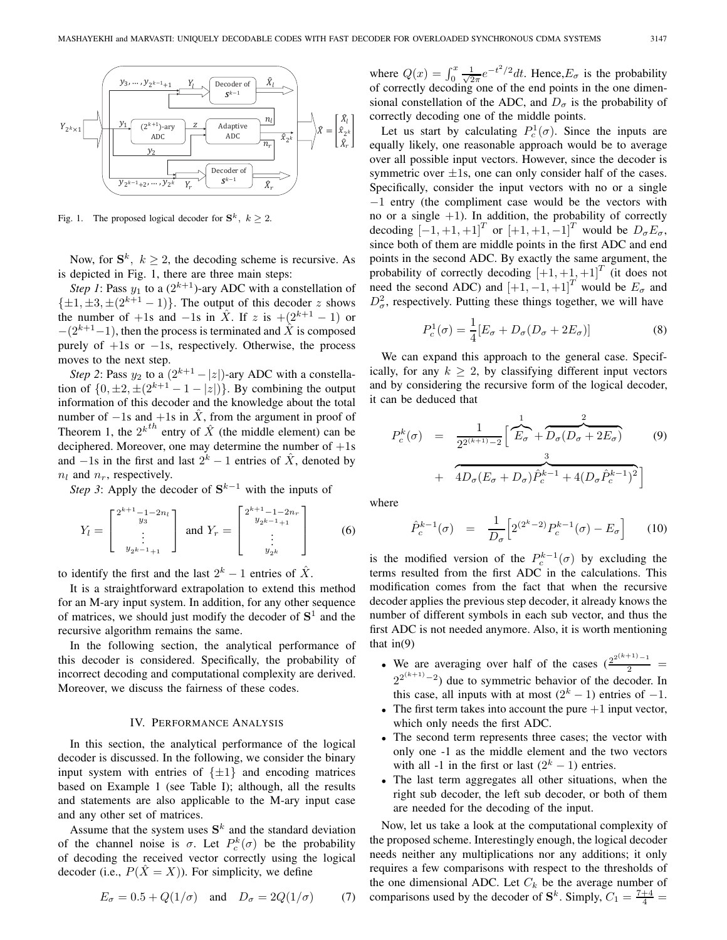

Fig. 1. The proposed logical decoder for  $S^k$ ,  $k \geq 2$ .

Now, for  $S^k$ ,  $k \geq 2$ , the decoding scheme is recursive. As is depicted in Fig. 1, there are three main steps:

*Step 1*: Pass  $y_1$  to a  $(2^{k+1})$ -ary ADC with a constellation of  $\{\pm 1, \pm 3, \pm (2^{k+1} - 1)\}.$  The output of this decoder z shows the number of +1s and −1s in  $\hat{X}$ . If z is +(2<sup>k+1</sup> − 1) or  $-(2^{k+1}-1)$ , then the process is terminated and X<sup> $\dot{x}$ </sup> is composed purely of  $+1s$  or  $-1s$ , respectively. Otherwise, the process moves to the next step.

*Step 2*: Pass  $y_2$  to a  $(2^{k+1} - |z|)$ -ary ADC with a constellation of  $\{0, \pm 2, \pm (2^{k+1} - 1 - |z|)\}\)$ . By combining the output information of this decoder and the knowledge about the total number of  $-1s$  and  $+1s$  in  $\hat{X}$ , from the argument in proof of Theorem 1, the  $2^{k^{th}}$  entry of  $\hat{X}$  (the middle element) can be deciphered. Moreover, one may determine the number of  $+1s$ and  $-1s$  in the first and last  $2^k - 1$  entries of  $\hat{X}$ , denoted by  $n_l$  and  $n_r$ , respectively.

*Step 3*: Apply the decoder of S<sup>k−1</sup> with the inputs of

$$
Y_l = \begin{bmatrix} 2^{k+1} - 1 - 2n_l \\ y_3 \\ \vdots \\ y_{2^{k-1}+1} \end{bmatrix} \text{ and } Y_r = \begin{bmatrix} 2^{k+1} - 1 - 2n_r \\ y_{2^{k-1}+1} \\ \vdots \\ y_{2^k} \end{bmatrix}
$$
 (6)

to identify the first and the last  $2^k - 1$  entries of  $\hat{X}$ .

It is a straightforward extrapolation to extend this method for an M-ary input system. In addition, for any other sequence of matrices, we should just modify the decoder of **S**<sup>1</sup> and the recursive algorithm remains the same.

In the following section, the analytical performance of this decoder is considered. Specifically, the probability of incorrect decoding and computational complexity are derived. Moreover, we discuss the fairness of these codes.

#### IV. PERFORMANCE ANALYSIS

In this section, the analytical performance of the logical decoder is discussed. In the following, we consider the binary input system with entries of  $\{\pm 1\}$  and encoding matrices based on Example 1 (see Table I); although, all the results and statements are also applicable to the M-ary input case and any other set of matrices.

Assume that the system uses  $S<sup>k</sup>$  and the standard deviation of the channel noise is  $\sigma$ . Let  $P_c^k(\sigma)$  be the probability of decoding the received vector correctly using the logical decoder (i.e.,  $P(\hat{X} = X)$ ). For simplicity, we define

$$
E_{\sigma} = 0.5 + Q(1/\sigma) \quad \text{and} \quad D_{\sigma} = 2Q(1/\sigma) \tag{7}
$$

where  $Q(x) = \int_0^x \frac{1}{\sqrt{2\pi}} e^{-t^2/2} dt$ . Hence,  $E_{\sigma}$  is the probability of correctly decoding one of the end points in the one dimensional constellation of the ADC, and  $D_{\sigma}$  is the probability of correctly decoding one of the middle points.

Let us start by calculating  $P_c^1(\sigma)$ . Since the inputs are equally likely, one reasonable approach would be to average over all possible input vectors. However, since the decoder is symmetric over  $\pm 1$ s, one can only consider half of the cases. Specifically, consider the input vectors with no or a single −1 entry (the compliment case would be the vectors with no or a single  $+1$ ). In addition, the probability of correctly decoding  $[-1, +1, +1]^T$  or  $[+1, +1, -1]^T$  would be  $D_{\sigma}E_{\sigma}$ , since both of them are middle points in the first ADC and end points in the second ADC. By exactly the same argument, the probability of correctly decoding  $[+1, +1, +1]^T$  (it does not need the second ADC) and  $\begin{bmatrix} +1 & -1 \\ +1 & -1 \end{bmatrix}^T$  would be  $E_{\sigma}$  and  $D^2_{\sigma}$ , respectively. Putting these things together, we will have

$$
P_c^1(\sigma) = \frac{1}{4} [E_\sigma + D_\sigma (D_\sigma + 2E_\sigma)]
$$
 (8)

We can expand this approach to the general case. Specifically, for any  $k \geq 2$ , by classifying different input vectors and by considering the recursive form of the logical decoder, it can be deduced that

$$
P_c^k(\sigma) = \frac{1}{2^{2^{(k+1)}-2}} \left[ \overbrace{E_{\sigma}}^1 + \overbrace{D_{\sigma}(D_{\sigma} + 2E_{\sigma})}^2 + 4D_{\sigma}(E_{\sigma} + D_{\sigma})\hat{P}_c^{k-1} + 4(D_{\sigma}\hat{P}_c^{k-1})^2 \right]
$$
(9)

where

$$
\hat{P}_c^{k-1}(\sigma) = \frac{1}{D_{\sigma}} \Big[ 2^{(2^k - 2)} P_c^{k-1}(\sigma) - E_{\sigma} \Big] \qquad (10)
$$

is the modified version of the  $P_c^{k-1}(\sigma)$  by excluding the terms resulted from the first ADC in the calculations. This modification comes from the fact that when the recursive decoder applies the previous step decoder, it already knows the number of different symbols in each sub vector, and thus the first ADC is not needed anymore. Also, it is worth mentioning that  $in(9)$ 

- We are averaging over half of the cases  $\left(\frac{2^{2(k+1)}-1}{2}\right)$  $2^{2^{(k+1)}-2}$ ) due to symmetric behavior of the decoder. In this case, all inputs with at most  $(2<sup>k</sup> - 1)$  entries of -1.
- The first term takes into account the pure  $+1$  input vector, which only needs the first ADC.
- The second term represents three cases; the vector with only one -1 as the middle element and the two vectors with all -1 in the first or last  $(2<sup>k</sup> - 1)$  entries.
- The last term aggregates all other situations, when the right sub decoder, the left sub decoder, or both of them are needed for the decoding of the input.

Now, let us take a look at the computational complexity of the proposed scheme. Interestingly enough, the logical decoder needs neither any multiplications nor any additions; it only requires a few comparisons with respect to the thresholds of the one dimensional ADC. Let  $C_k$  be the average number of comparisons used by the decoder of  $S^k$ . Simply,  $C_1 = \frac{7+4}{4}$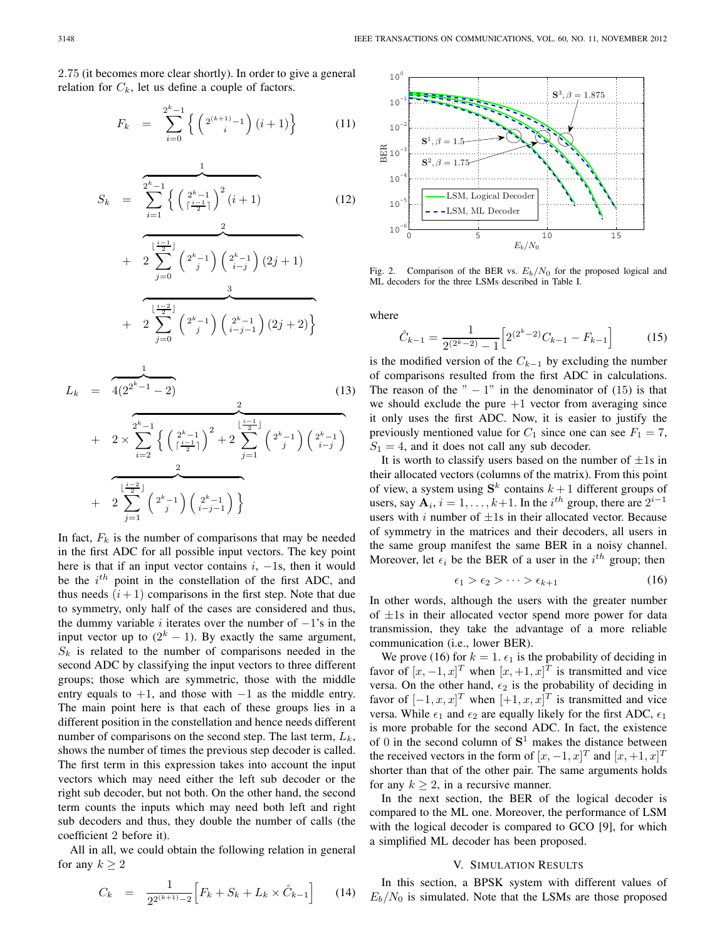2.75 (it becomes more clear shortly). In order to give a general relation for  $C_k$ , let us define a couple of factors.

$$
F_k = \sum_{i=0}^{2^k - 1} \left\{ \left( 2^{(k+1)} - 1 \right) (i+1) \right\} \tag{11}
$$

$$
S_k = \frac{\sum_{i=1}^{2^k - 1} \left\{ \left( \frac{2^k - 1}{\lceil \frac{i-1}{2} \rceil} \right)^2 (i+1) \right\}}{\sum_{j=0}^{\lfloor \frac{i-1}{2} \rfloor} \left( 2^k - 1 \right) \left( 2^k - 1 \right)}
$$
(12)  
+  $2 \sum_{j=0}^{\lfloor \frac{i-1}{2} \rfloor} \left( 2^k - 1 \right) \left( 2^k - 1 \right)$   
+  $2 \sum_{j=0}^{\lfloor \frac{i-2}{2} \rfloor} \left( 2^k - 1 \right) \left( 2^k - 1 \right) (2j+2) \right\}$ 

$$
L_k = \frac{1}{4(2^{2^k-1}-2)}
$$
(13)  
+  $2 \times \sum_{i=2}^{2^k-1} \left\{ \left( \frac{2^k-1}{\lceil \frac{i-1}{2} \rceil} \right)^2 + 2 \sum_{j=1}^{\lfloor \frac{i-1}{2} \rfloor} \left( 2^k-1 \right) \left( \frac{2^k-1}{i-j} \right) + 2 \sum_{j=1}^{\lfloor \frac{i-2}{2} \rfloor} \left( 2^k-1 \right) \left( \frac{2^k-1}{i-j-1} \right) \right\}$ 

In fact,  $F_k$  is the number of comparisons that may be needed in the first ADC for all possible input vectors. The key point here is that if an input vector contains  $i, -1$ s, then it would be the  $i^{th}$  point in the constellation of the first ADC, and thus needs  $(i + 1)$  comparisons in the first step. Note that due to symmetry, only half of the cases are considered and thus, the dummy variable i iterates over the number of  $-1$ 's in the input vector up to  $(2<sup>k</sup> - 1)$ . By exactly the same argument,  $S_k$  is related to the number of comparisons needed in the second ADC by classifying the input vectors to three different groups; those which are symmetric, those with the middle entry equals to  $+1$ , and those with  $-1$  as the middle entry. The main point here is that each of these groups lies in a different position in the constellation and hence needs different number of comparisons on the second step. The last term,  $L_k$ , shows the number of times the previous step decoder is called. The first term in this expression takes into account the input vectors which may need either the left sub decoder or the right sub decoder, but not both. On the other hand, the second term counts the inputs which may need both left and right sub decoders and thus, they double the number of calls (the coefficient 2 before it).

All in all, we could obtain the following relation in general for any  $k > 2$ 

$$
C_k = \frac{1}{2^{2^{(k+1)}-2}} \Big[ F_k + S_k + L_k \times \hat{C}_{k-1} \Big] \qquad (14)
$$



Fig. 2. Comparison of the BER vs.  $E_b/N_0$  for the proposed logical and ML decoders for the three LSMs described in Table I.

where

$$
\hat{C}_{k-1} = \frac{1}{2^{(2^k - 2)} - 1} \left[ 2^{(2^k - 2)} C_{k-1} - F_{k-1} \right]
$$
(15)

is the modified version of the  $C_{k-1}$  by excluding the number of comparisons resulted from the first ADC in calculations. The reason of the " $-1$ " in the denominator of (15) is that we should exclude the pure  $+1$  vector from averaging since it only uses the first ADC. Now, it is easier to justify the previously mentioned value for  $C_1$  since one can see  $F_1 = 7$ ,  $S_1 = 4$ , and it does not call any sub decoder.

It is worth to classify users based on the number of  $\pm 1$ s in their allocated vectors (columns of the matrix). From this point of view, a system using  $S^k$  contains  $k+1$  different groups of users, say  $\mathbf{A}_i$ ,  $i = 1, \ldots, k+1$ . In the  $i^{th}$  group, there are  $2^{i-1}$ users with i number of  $\pm 1$ s in their allocated vector. Because of symmetry in the matrices and their decoders, all users in the same group manifest the same BER in a noisy channel. Moreover, let  $\epsilon_i$  be the BER of a user in the  $i^{th}$  group; then

$$
\epsilon_1 > \epsilon_2 > \cdots > \epsilon_{k+1} \tag{16}
$$

In other words, although the users with the greater number of  $\pm 1$ s in their allocated vector spend more power for data transmission, they take the advantage of a more reliable communication (i.e., lower BER).

We prove (16) for  $k = 1$ .  $\epsilon_1$  is the probability of deciding in favor of  $[x, -1, x]^T$  when  $[x, +1, x]^T$  is transmitted and vice versa. On the other hand,  $\epsilon_2$  is the probability of deciding in favor of  $[-1, x, x]^T$  when  $[+1, x, x]^T$  is transmitted and vice versa. While  $\epsilon_1$  and  $\epsilon_2$  are equally likely for the first ADC,  $\epsilon_1$ is more probable for the second ADC. In fact, the existence of 0 in the second column of  $S<sup>1</sup>$  makes the distance between the received vectors in the form of  $[x, -1, x]^T$  and  $[x, +1, x]^T$ shorter than that of the other pair. The same arguments holds for any  $k > 2$ , in a recursive manner.

In the next section, the BER of the logical decoder is compared to the ML one. Moreover, the performance of LSM with the logical decoder is compared to GCO [9], for which a simplified ML decoder has been proposed.

# V. SIMULATION RESULTS

In this section, a BPSK system with different values of  $E_b/N_0$  is simulated. Note that the LSMs are those proposed